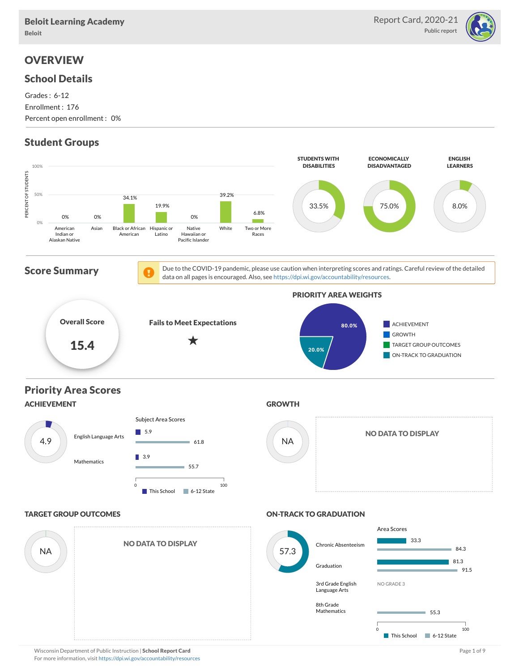

# **OVERVIEW**

#### School Details

Grades : 6-12 Enrollment : 176 Percent open enrollment : 0%

# Student Groups

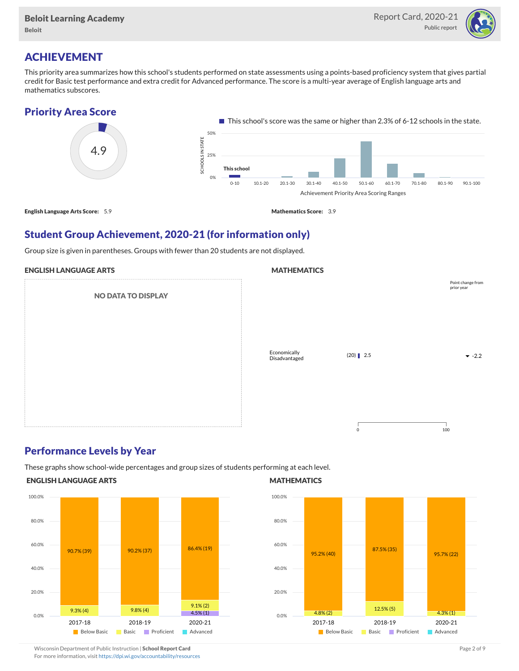

# ACHIEVEMENT

This priority area summarizes how this school's students performed on state assessments using a points-based proficiency system that gives partial credit for Basic test performance and extra credit for Advanced performance. The score is a multi-year average of English language arts and mathematics subscores.

#### Priority Area Score



### Student Group Achievement, 2020-21 (for information only)

Group size is given in parentheses. Groups with fewer than 20 students are not displayed.

#### ENGLISH LANGUAGE ARTS

NO DATA TO DISPLAY

# **MATHEMATICS** Economically Disadvantaged  $(20)$  2.5  $-2.2$ 0 100 Point change from prior year

### Performance Levels by Year

These graphs show school-wide percentages and group sizes of students performing at each level.

#### ENGLISH LANGUAGE ARTS



#### **MATHEMATICS**



# Wisconsin Department of Public Instruction | School Report Card Page 2 of 9 and 2 of 9 and 2 of 9 and 2 of 9 and 2 of 9 and 2 of 9 and 2 of 9 and 2 of 9 and 2 of 9 and 2 of 9 and 2 of 9 and 2 of 9 and 2 of 9 and 2 of 9 and

For more information, visit <https://dpi.wi.gov/accountability/resources>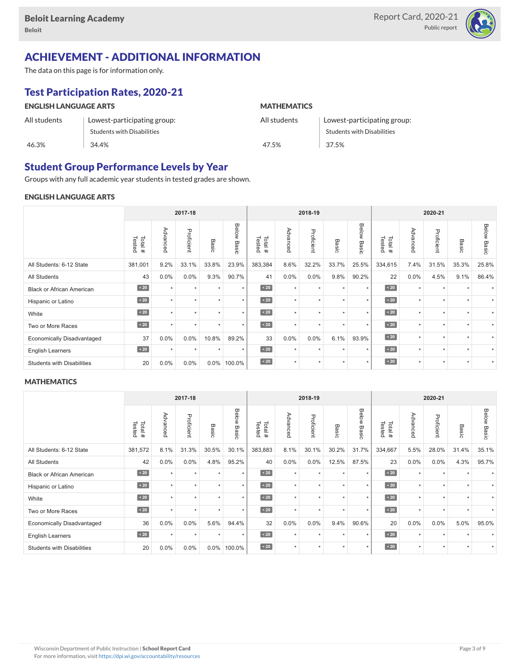

# ACHIEVEMENT - ADDITIONAL INFORMATION

The data on this page is for information only.

# Test Participation Rates, 2020-21

| <b>ENGLISH LANGUAGE ARTS</b> |                                   | <b>MATHEMATICS</b> |                             |  |  |  |  |
|------------------------------|-----------------------------------|--------------------|-----------------------------|--|--|--|--|
| All students                 | Lowest-participating group:       | All students       | Lowest-participating group: |  |  |  |  |
|                              | <b>Students with Disabilities</b> |                    | Students with Disabilities  |  |  |  |  |
| 46.3%                        | 34.4%                             | 47.5%              | 37.5%                       |  |  |  |  |

### Student Group Performance Levels by Year

Groups with any full academic year students in tested grades are shown.

#### ENGLISH LANGUAGE ARTS

|                                   | 2017-18          |           |            |           | 2018-19        |                  |          |            |                 | 2020-21        |                  |          |            |                      |                |
|-----------------------------------|------------------|-----------|------------|-----------|----------------|------------------|----------|------------|-----------------|----------------|------------------|----------|------------|----------------------|----------------|
|                                   | Tested<br>Total# | Advanced  | Proficient | Basic     | Below<br>Basic | Tested<br>Total# | Advanced | Proficient | Basi<br>$\circ$ | Below<br>Basic | Tested<br>Total# | Advanced | Proficient | Basic                | Below<br>Basic |
| All Students: 6-12 State          | 381,001          | 9.2%      | 33.1%      | 33.8%     | 23.9%          | 383,384          | 8.6%     | 32.2%      | 33.7%           | 25.5%          | 334,615          | 7.4%     | 31.5%      | 35.3%                | 25.8%          |
| <b>All Students</b>               | 43               | 0.0%      | 0.0%       | 9.3%      | 90.7%          | 41               | 0.0%     | 0.0%       | 9.8%            | 90.2%          | 22               | 0.0%     | 4.5%       | 9.1%                 | 86.4%          |
| <b>Black or African American</b>  | $\angle 20$      | $\ddot{}$ | $\star$    | $\star$   | $\star$        | $\angle 20$      | $\star$  | $\star$    | $\ddot{}$       | $\star$        | $\angle 20$      | $\star$  | $\star$    |                      |                |
| Hispanic or Latino                | $\sim 20$        |           | ٠          | ٠         | $\star$        | $\sim 20$        | $\star$  | $\star$    |                 | $\star$        | $\sim 20$        | $\star$  | ٠          |                      |                |
| White                             | $\sim 20$        | $\ddot{}$ | $\Phi$     | $\star$   | $\star$        | $\angle 20$      | $\star$  | $\star$    |                 | $\star$        | $\angle 20$      | $\star$  | $\star$    | $\ddot{\phantom{1}}$ | ٠              |
| Two or More Races                 | $\angle 20$      | $\ddot{}$ | $\star$    | $\ddot{}$ | $\star$        | $\angle 20$      | $\star$  | $\star$    | $\ddot{}$       | $\star$        | $\sim 20$        | $\star$  | $\star$    | $\ddot{\phantom{1}}$ |                |
| <b>Economically Disadvantaged</b> | 37               | 0.0%      | 0.0%       | 10.8%     | 89.2%          | 33               | 0.0%     | 0.0%       | 6.1%            | 93.9%          | $\angle 20$      | $\star$  | ٠          |                      |                |
| <b>English Learners</b>           | $\sim 20$        | $\star$   | $\star$    | $\star$   | $\star$        | $\angle 20$      | $\star$  | $\star$    | $\ddot{}$       | $\star$        | $\angle 20$      | $\star$  | $\star$    | $\ddot{}$            |                |
| <b>Students with Disabilities</b> | 20               | 0.0%      | 0.0%       | $0.0\%$   | 100.0%         | $\sim 20$        | $\star$  | $\star$    |                 | $\star$        | $\angle 20$      | $\star$  | $\star$    | $\ddot{}$            | $\star$        |

#### **MATHEMATICS**

|                                   | 2017-18          |                      |            |           | 2018-19        |                  |          |            |                      | 2020-21        |                  |          |            |                      |                       |
|-----------------------------------|------------------|----------------------|------------|-----------|----------------|------------------|----------|------------|----------------------|----------------|------------------|----------|------------|----------------------|-----------------------|
|                                   | Tested<br>Total# | Advanced             | Proficient | Basic     | Below<br>Basic | Total#<br>Tested | Advanced | Proficient | Basic                | Below<br>Basic | Tested<br>Total# | Advanced | Proficient | Basic                | <b>Below</b><br>Basic |
| All Students: 6-12 State          | 381,572          | 8.1%                 | 31.3%      | 30.5%     | 30.1%          | 383,883          | 8.1%     | 30.1%      | 30.2%                | 31.7%          | 334,667          | 5.5%     | 28.0%      | 31.4%                | 35.1%                 |
| <b>All Students</b>               | 42               | 0.0%                 | 0.0%       | 4.8%      | 95.2%          | 40               | 0.0%     | 0.0%       | 12.5%                | 87.5%          | 23               | 0.0%     | 0.0%       | 4.3%                 | 95.7%                 |
| <b>Black or African American</b>  | $\sim 20$        | $\ddot{}$            | $\star$    | ٠         | $\star$        | $\angle 20$      | $\star$  | $\star$    | $\ddot{\phantom{1}}$ | $\star$        | $\sim 20$        | $\star$  | $\star$    |                      |                       |
| Hispanic or Latino                | $\angle 20$      | $\ddot{\phantom{1}}$ | ٠          | ٠         | $\star$        | $\angle 20$      | $\star$  | $\star$    | $\ddot{\phantom{1}}$ | $\star$        | $\angle 20$      | $\star$  | $\star$    |                      |                       |
| White                             | $\angle 20$      | $\ddot{}$            | ٠          | ٠         | $\star$        | $\angle 20$      | $\star$  | $\star$    | $\ddot{}$            | $\star$        | $\angle 20$      | $\star$  | ٠          | $\ddot{\phantom{1}}$ | ٠                     |
| Two or More Races                 | $\sim 20$        | $\ddot{}$            | ٠          | $\ddot{}$ | $\star$        | $\sim 20$        | $\star$  | $\star$    | $\ddot{}$            | $\star$        | $\sim 20$        | $\star$  | $\star$    | $\star$              | ٠                     |
| <b>Economically Disadvantaged</b> | 36               | 0.0%                 | 0.0%       | 5.6%      | 94.4%          | 32               | 0.0%     | 0.0%       | 9.4%                 | 90.6%          | 20               | 0.0%     | 0.0%       | 5.0%                 | 95.0%                 |
| <b>English Learners</b>           | $\sim 20$        | $\star$              | $\star$    | $\star$   | $\star$        | $\sim 20$        | $\star$  | $\star$    | $\ddot{}$            | $\star$        | $\angle 20$      | $\star$  | $\star$    |                      |                       |
| <b>Students with Disabilities</b> | 20               | 0.0%                 | 0.0%       | $0.0\%$   | 100.0%         | $\sim 20$        | $\star$  | $\star$    |                      | $\star$        | $\sim 20$        | $\star$  | $\star$    | $\ddot{}$            |                       |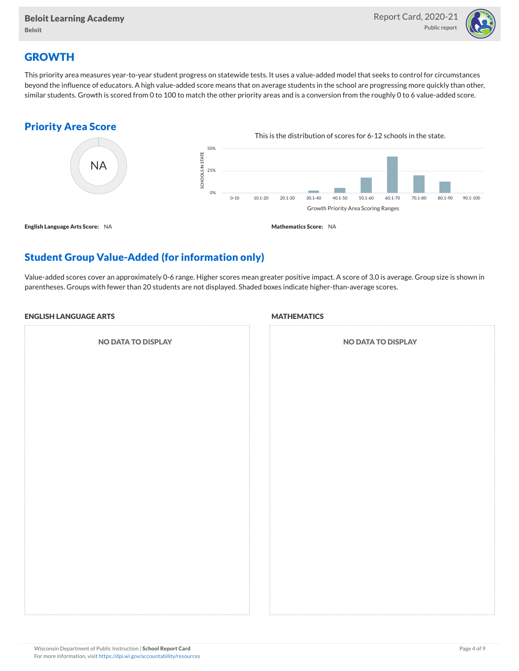

# **GROWTH**

This priority area measures year-to-year student progress on statewide tests. It uses a value-added model that seeks to control for circumstances beyond the influence of educators. A high value-added score means that on average students in the school are progressing more quickly than other, similar students. Growth is scored from 0 to 100 to match the other priority areas and is a conversion from the roughly 0 to 6 value-added score.

### Priority Area Score



# Student Group Value-Added (for information only)

Value-added scores cover an approximately 0-6 range. Higher scores mean greater positive impact. A score of 3.0 is average. Group size is shown in parentheses. Groups with fewer than 20 students are not displayed. Shaded boxes indicate higher-than-average scores.

#### ENGLISH LANGUAGE ARTS

NO DATA TO DISPLAY

#### **MATHEMATICS**

| <b>NO DATA TO DISPLAY</b> |
|---------------------------|
|                           |
|                           |
|                           |
|                           |
|                           |
|                           |
|                           |
|                           |
|                           |
|                           |
|                           |
|                           |
|                           |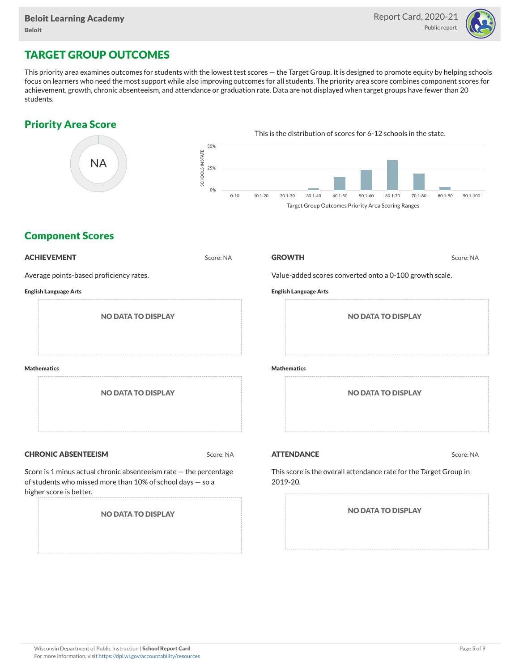

# TARGET GROUP OUTCOMES

This priority area examines outcomes for students with the lowest test scores — the Target Group. It is designed to promote equity by helping schools focus on learners who need the most support while also improving outcomes for all students. The priority area score combines component scores for achievement, growth, chronic absenteeism, and attendance or graduation rate. Data are not displayed when target groups have fewer than 20 students.

### Priority Area Score



### Component Scores

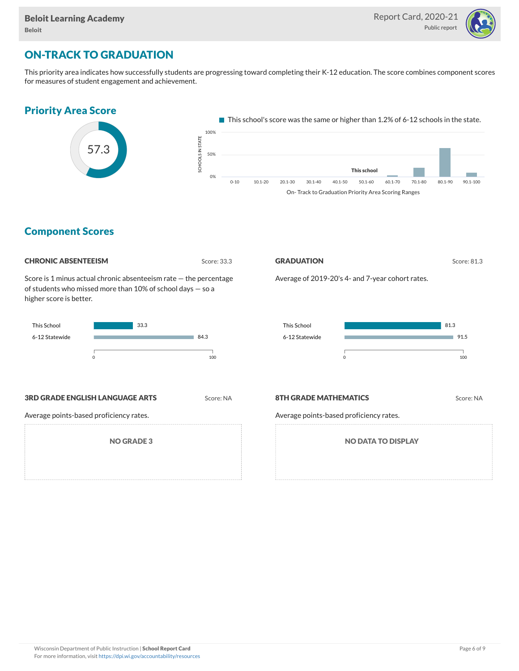

# ON-TRACK TO GRADUATION

This priority area indicates how successfully students are progressing toward completing their K-12 education. The score combines component scores for measures of student engagement and achievement.



#### Component Scores

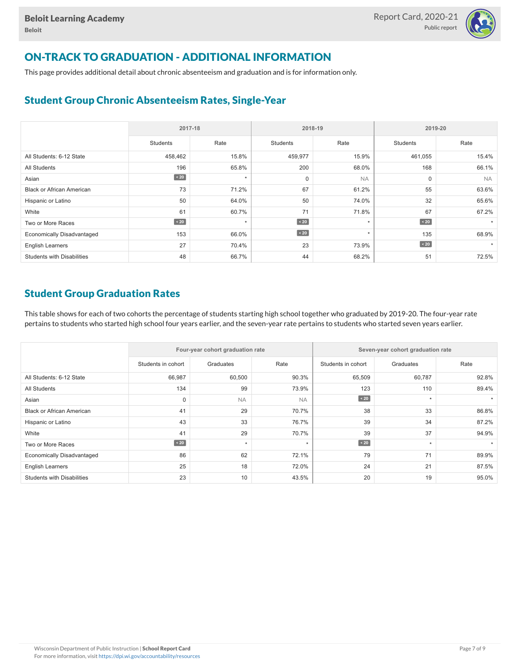

# ON-TRACK TO GRADUATION - ADDITIONAL INFORMATION

This page provides additional detail about chronic absenteeism and graduation and is for information only.

# Student Group Chronic Absenteeism Rates, Single-Year

|                                   | 2017-18   |         |                 | 2018-19   | 2019-20         |           |  |  |
|-----------------------------------|-----------|---------|-----------------|-----------|-----------------|-----------|--|--|
|                                   | Students  | Rate    | <b>Students</b> | Rate      | <b>Students</b> | Rate      |  |  |
| All Students: 6-12 State          | 458,462   | 15.8%   | 459,977         | 15.9%     | 461,055         | 15.4%     |  |  |
| All Students                      | 196       | 65.8%   | 200             | 68.0%     | 168             | 66.1%     |  |  |
| Asian                             | $\sim 20$ | $\star$ | $\mathbf 0$     | <b>NA</b> | 0               | <b>NA</b> |  |  |
| <b>Black or African American</b>  | 73        | 71.2%   | 67              | 61.2%     | 55              | 63.6%     |  |  |
| Hispanic or Latino                | 50        | 64.0%   | 50              | 74.0%     | 32              | 65.6%     |  |  |
| White                             | 61        | 60.7%   | 71              | 71.8%     | 67              | 67.2%     |  |  |
| Two or More Races                 | $\sim 20$ | $\star$ | $\sim 20$       | $\star$   | $\angle 20$     |           |  |  |
| <b>Economically Disadvantaged</b> | 153       | 66.0%   | $\sim 20$       | $\star$   | 135             | 68.9%     |  |  |
| <b>English Learners</b>           | 27        | 70.4%   | 23              | 73.9%     | $\angle 20$     |           |  |  |
| <b>Students with Disabilities</b> | 48        | 66.7%   | 44              | 68.2%     | 51              | 72.5%     |  |  |

# Student Group Graduation Rates

This table shows for each of two cohorts the percentage of students starting high school together who graduated by 2019-20. The four-year rate pertains to students who started high school four years earlier, and the seven-year rate pertains to students who started seven years earlier.

|                                   |                    | Four-year cohort graduation rate |           | Seven-year cohort graduation rate |           |       |  |  |
|-----------------------------------|--------------------|----------------------------------|-----------|-----------------------------------|-----------|-------|--|--|
|                                   | Students in cohort | Graduates                        | Rate      | Students in cohort                | Graduates | Rate  |  |  |
| All Students: 6-12 State          | 66,987             | 60,500                           | 90.3%     | 65,509                            | 60,787    | 92.8% |  |  |
| <b>All Students</b>               | 134                | 99                               | 73.9%     | 123                               | 110       | 89.4% |  |  |
| Asian                             | 0                  | <b>NA</b>                        | <b>NA</b> | $\angle 20$                       | $\star$   |       |  |  |
| Black or African American         | 41                 | 29                               | 70.7%     | 38                                | 33        | 86.8% |  |  |
| Hispanic or Latino                | 43                 | 33                               | 76.7%     | 39                                | 34        | 87.2% |  |  |
| White                             | 41                 | 29                               | 70.7%     | 39                                | 37        | 94.9% |  |  |
| Two or More Races                 | $\angle 20$        | $\star$                          | $\star$   | $\angle 20$                       | $\star$   |       |  |  |
| <b>Economically Disadvantaged</b> | 86                 | 62                               | 72.1%     | 79                                | 71        | 89.9% |  |  |
| <b>English Learners</b>           | 25                 | 18                               | 72.0%     | 24                                | 21        | 87.5% |  |  |
| <b>Students with Disabilities</b> | 23                 | 10                               | 43.5%     | 20                                | 19        | 95.0% |  |  |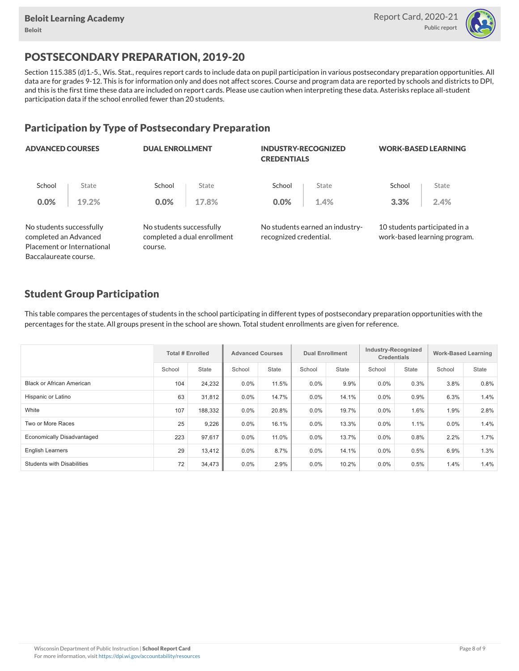

# POSTSECONDARY PREPARATION, 2019-20

Section 115.385 (d)1.-5., Wis. Stat., requires report cards to include data on pupil participation in various postsecondary preparation opportunities. All data are for grades 9-12. This is for information only and does not affect scores. Course and program data are reported by schools and districts to DPI, and this is the first time these data are included on report cards. Please use caution when interpreting these data. Asterisks replace all-student participation data if the school enrolled fewer than 20 students.

### Participation by Type of Postsecondary Preparation

| <b>ADVANCED COURSES</b>                           |                            |                                     | <b>DUAL ENROLLMENT</b>      |                        | <b>INDUSTRY-RECOGNIZED</b><br><b>CREDENTIALS</b> | <b>WORK-BASED LEARNING</b> |                                                               |  |
|---------------------------------------------------|----------------------------|-------------------------------------|-----------------------------|------------------------|--------------------------------------------------|----------------------------|---------------------------------------------------------------|--|
| School                                            | State                      | School                              | State                       | School                 | State                                            | School                     | State                                                         |  |
| 0.0%                                              | 19.2%                      | $0.0\%$                             | 17.8%                       | 0.0%                   | 1.4%                                             | 3.3%                       | 2.4%                                                          |  |
| No students successfully<br>completed an Advanced | Placement or International | No students successfully<br>course. | completed a dual enrollment | recognized credential. | No students earned an industry-                  |                            | 10 students participated in a<br>work-based learning program. |  |
| Baccalaureate course.                             |                            |                                     |                             |                        |                                                  |                            |                                                               |  |

### Student Group Participation

This table compares the percentages of students in the school participating in different types of postsecondary preparation opportunities with the percentages for the state. All groups present in the school are shown. Total student enrollments are given for reference.

|                                   | <b>Total # Enrolled</b> |         | <b>Advanced Courses</b> |              | <b>Dual Enrollment</b> |              | Industry-Recognized<br><b>Credentials</b> |       | <b>Work-Based Learning</b> |              |
|-----------------------------------|-------------------------|---------|-------------------------|--------------|------------------------|--------------|-------------------------------------------|-------|----------------------------|--------------|
|                                   | School                  | State   | School                  | <b>State</b> | School                 | <b>State</b> | School                                    | State | School                     | <b>State</b> |
| Black or African American         | 104                     | 24,232  | $0.0\%$                 | 11.5%        | $0.0\%$                | 9.9%         | 0.0%                                      | 0.3%  | 3.8%                       | 0.8%         |
| Hispanic or Latino                | 63                      | 31,812  | $0.0\%$                 | 14.7%        | $0.0\%$                | 14.1%        | $0.0\%$                                   | 0.9%  | 6.3%                       | 1.4%         |
| White                             | 107                     | 188,332 | $0.0\%$                 | 20.8%        | 0.0%                   | 19.7%        | 0.0%                                      | 1.6%  | 1.9%                       | 2.8%         |
| Two or More Races                 | 25                      | 9,226   | $0.0\%$                 | 16.1%        | $0.0\%$                | 13.3%        | 0.0%                                      | 1.1%  | $0.0\%$                    | 1.4%         |
| <b>Economically Disadvantaged</b> | 223                     | 97,617  | $0.0\%$                 | 11.0%        | 0.0%                   | 13.7%        | 0.0%                                      | 0.8%  | 2.2%                       | 1.7%         |
| <b>English Learners</b>           | 29                      | 13,412  | $0.0\%$                 | 8.7%         | 0.0%                   | 14.1%        | 0.0%                                      | 0.5%  | 6.9%                       | 1.3%         |
| <b>Students with Disabilities</b> | 72                      | 34,473  | $0.0\%$                 | 2.9%         | 0.0%                   | 10.2%        | 0.0%                                      | 0.5%  | 1.4%                       | 1.4%         |